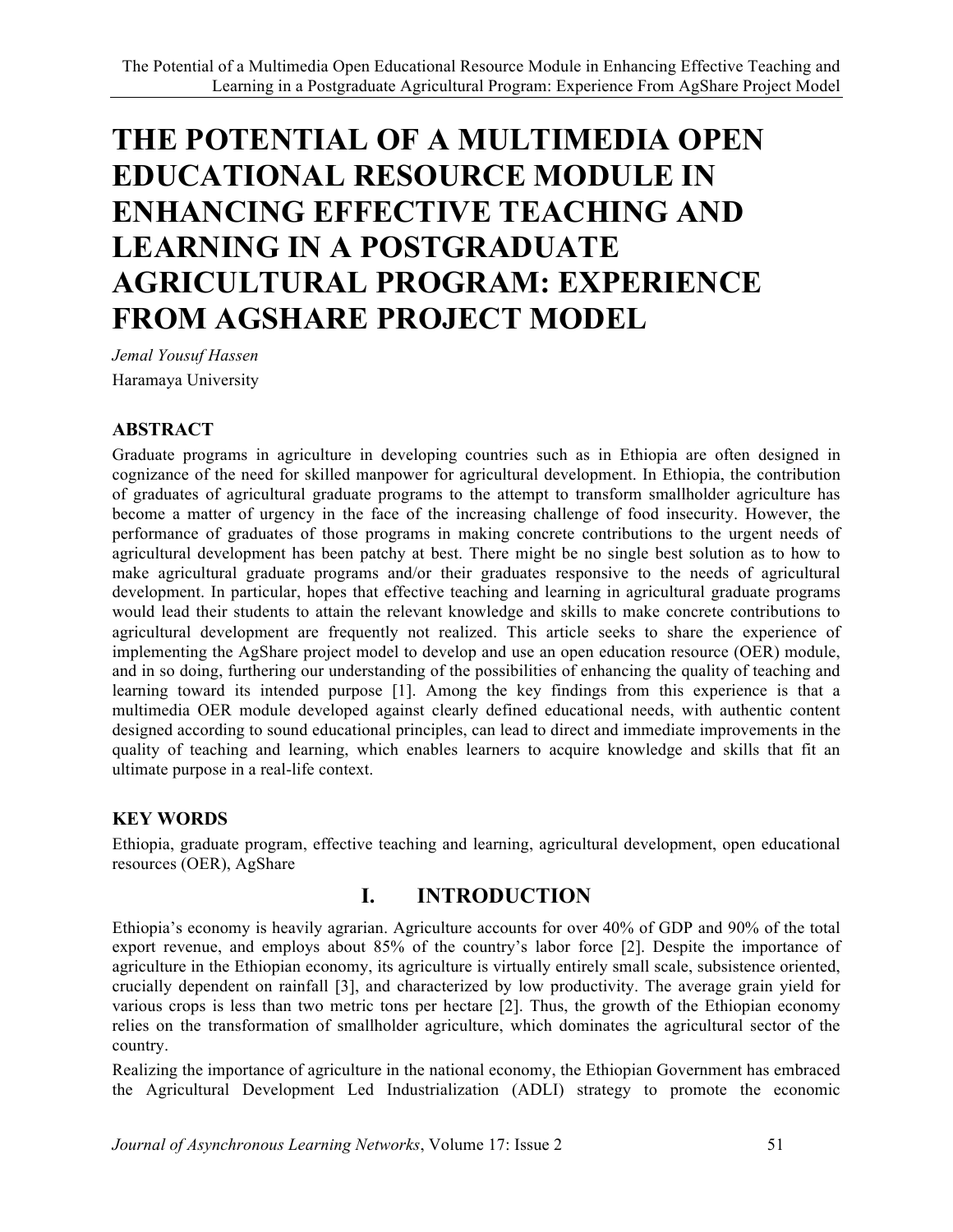# **THE POTENTIAL OF A MULTIMEDIA OPEN EDUCATIONAL RESOURCE MODULE IN ENHANCING EFFECTIVE TEACHING AND LEARNING IN A POSTGRADUATE AGRICULTURAL PROGRAM: EXPERIENCE FROM AGSHARE PROJECT MODEL**

*Jemal Yousuf Hassen* Haramaya University

#### **ABSTRACT**

Graduate programs in agriculture in developing countries such as in Ethiopia are often designed in cognizance of the need for skilled manpower for agricultural development. In Ethiopia, the contribution of graduates of agricultural graduate programs to the attempt to transform smallholder agriculture has become a matter of urgency in the face of the increasing challenge of food insecurity. However, the performance of graduates of those programs in making concrete contributions to the urgent needs of agricultural development has been patchy at best. There might be no single best solution as to how to make agricultural graduate programs and/or their graduates responsive to the needs of agricultural development. In particular, hopes that effective teaching and learning in agricultural graduate programs would lead their students to attain the relevant knowledge and skills to make concrete contributions to agricultural development are frequently not realized. This article seeks to share the experience of implementing the AgShare project model to develop and use an open education resource (OER) module, and in so doing, furthering our understanding of the possibilities of enhancing the quality of teaching and learning toward its intended purpose [1]. Among the key findings from this experience is that a multimedia OER module developed against clearly defined educational needs, with authentic content designed according to sound educational principles, can lead to direct and immediate improvements in the quality of teaching and learning, which enables learners to acquire knowledge and skills that fit an ultimate purpose in a real-life context.

#### **KEY WORDS**

Ethiopia, graduate program, effective teaching and learning, agricultural development, open educational resources (OER), AgShare

### **I. INTRODUCTION**

Ethiopia's economy is heavily agrarian. Agriculture accounts for over 40% of GDP and 90% of the total export revenue, and employs about 85% of the country's labor force [2]. Despite the importance of agriculture in the Ethiopian economy, its agriculture is virtually entirely small scale, subsistence oriented, crucially dependent on rainfall [3], and characterized by low productivity. The average grain yield for various crops is less than two metric tons per hectare [2]. Thus, the growth of the Ethiopian economy relies on the transformation of smallholder agriculture, which dominates the agricultural sector of the country.

Realizing the importance of agriculture in the national economy, the Ethiopian Government has embraced the Agricultural Development Led Industrialization (ADLI) strategy to promote the economic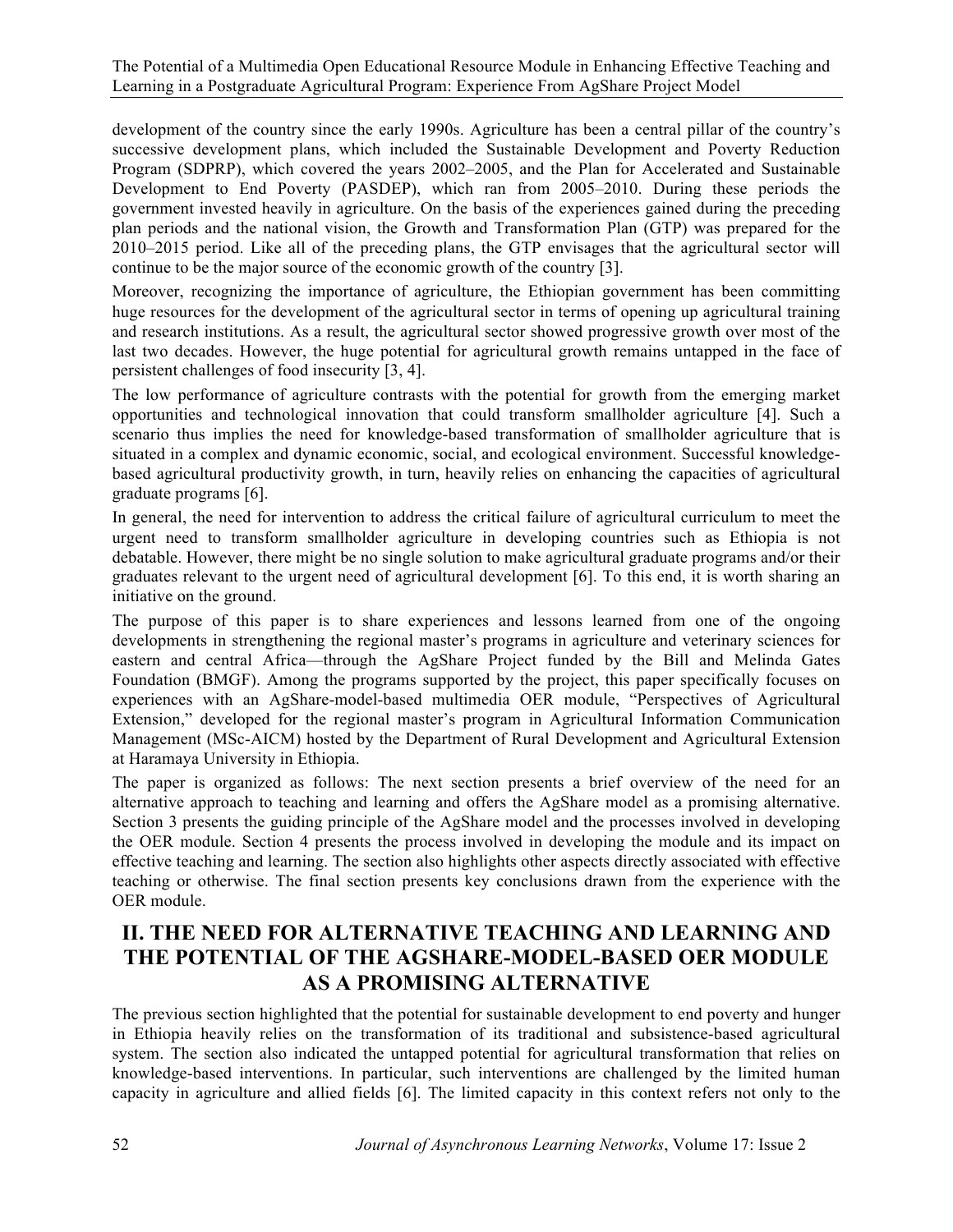development of the country since the early 1990s. Agriculture has been a central pillar of the country's successive development plans, which included the Sustainable Development and Poverty Reduction Program (SDPRP), which covered the years 2002–2005, and the Plan for Accelerated and Sustainable Development to End Poverty (PASDEP), which ran from 2005–2010. During these periods the government invested heavily in agriculture. On the basis of the experiences gained during the preceding plan periods and the national vision, the Growth and Transformation Plan (GTP) was prepared for the 2010–2015 period. Like all of the preceding plans, the GTP envisages that the agricultural sector will continue to be the major source of the economic growth of the country [3].

Moreover, recognizing the importance of agriculture, the Ethiopian government has been committing huge resources for the development of the agricultural sector in terms of opening up agricultural training and research institutions. As a result, the agricultural sector showed progressive growth over most of the last two decades. However, the huge potential for agricultural growth remains untapped in the face of persistent challenges of food insecurity [3, 4].

The low performance of agriculture contrasts with the potential for growth from the emerging market opportunities and technological innovation that could transform smallholder agriculture [4]. Such a scenario thus implies the need for knowledge-based transformation of smallholder agriculture that is situated in a complex and dynamic economic, social, and ecological environment. Successful knowledgebased agricultural productivity growth, in turn, heavily relies on enhancing the capacities of agricultural graduate programs [6].

In general, the need for intervention to address the critical failure of agricultural curriculum to meet the urgent need to transform smallholder agriculture in developing countries such as Ethiopia is not debatable. However, there might be no single solution to make agricultural graduate programs and/or their graduates relevant to the urgent need of agricultural development [6]. To this end, it is worth sharing an initiative on the ground.

The purpose of this paper is to share experiences and lessons learned from one of the ongoing developments in strengthening the regional master's programs in agriculture and veterinary sciences for eastern and central Africa—through the AgShare Project funded by the Bill and Melinda Gates Foundation (BMGF). Among the programs supported by the project, this paper specifically focuses on experiences with an AgShare-model-based multimedia OER module, "Perspectives of Agricultural Extension," developed for the regional master's program in Agricultural Information Communication Management (MSc-AICM) hosted by the Department of Rural Development and Agricultural Extension at Haramaya University in Ethiopia.

The paper is organized as follows: The next section presents a brief overview of the need for an alternative approach to teaching and learning and offers the AgShare model as a promising alternative. Section 3 presents the guiding principle of the AgShare model and the processes involved in developing the OER module. Section 4 presents the process involved in developing the module and its impact on effective teaching and learning. The section also highlights other aspects directly associated with effective teaching or otherwise. The final section presents key conclusions drawn from the experience with the OER module.

#### **II. THE NEED FOR ALTERNATIVE TEACHING AND LEARNING AND THE POTENTIAL OF THE AGSHARE-MODEL-BASED OER MODULE AS A PROMISING ALTERNATIVE**

The previous section highlighted that the potential for sustainable development to end poverty and hunger in Ethiopia heavily relies on the transformation of its traditional and subsistence-based agricultural system. The section also indicated the untapped potential for agricultural transformation that relies on knowledge-based interventions. In particular, such interventions are challenged by the limited human capacity in agriculture and allied fields [6]. The limited capacity in this context refers not only to the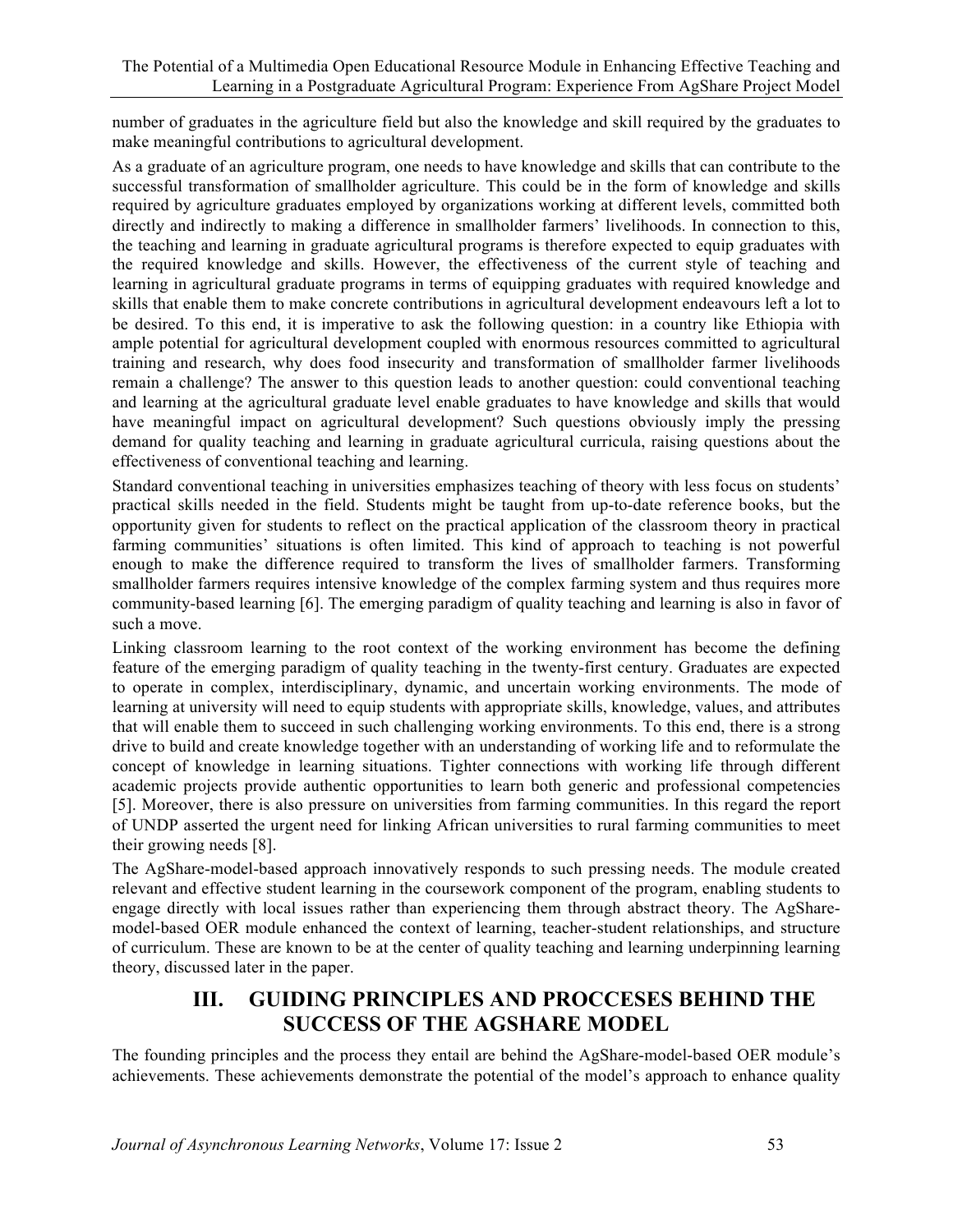number of graduates in the agriculture field but also the knowledge and skill required by the graduates to make meaningful contributions to agricultural development.

As a graduate of an agriculture program, one needs to have knowledge and skills that can contribute to the successful transformation of smallholder agriculture. This could be in the form of knowledge and skills required by agriculture graduates employed by organizations working at different levels, committed both directly and indirectly to making a difference in smallholder farmers' livelihoods. In connection to this, the teaching and learning in graduate agricultural programs is therefore expected to equip graduates with the required knowledge and skills. However, the effectiveness of the current style of teaching and learning in agricultural graduate programs in terms of equipping graduates with required knowledge and skills that enable them to make concrete contributions in agricultural development endeavours left a lot to be desired. To this end, it is imperative to ask the following question: in a country like Ethiopia with ample potential for agricultural development coupled with enormous resources committed to agricultural training and research, why does food insecurity and transformation of smallholder farmer livelihoods remain a challenge? The answer to this question leads to another question: could conventional teaching and learning at the agricultural graduate level enable graduates to have knowledge and skills that would have meaningful impact on agricultural development? Such questions obviously imply the pressing demand for quality teaching and learning in graduate agricultural curricula, raising questions about the effectiveness of conventional teaching and learning.

Standard conventional teaching in universities emphasizes teaching of theory with less focus on students' practical skills needed in the field. Students might be taught from up-to-date reference books, but the opportunity given for students to reflect on the practical application of the classroom theory in practical farming communities' situations is often limited. This kind of approach to teaching is not powerful enough to make the difference required to transform the lives of smallholder farmers. Transforming smallholder farmers requires intensive knowledge of the complex farming system and thus requires more community-based learning [6]. The emerging paradigm of quality teaching and learning is also in favor of such a move.

Linking classroom learning to the root context of the working environment has become the defining feature of the emerging paradigm of quality teaching in the twenty-first century. Graduates are expected to operate in complex, interdisciplinary, dynamic, and uncertain working environments. The mode of learning at university will need to equip students with appropriate skills, knowledge, values, and attributes that will enable them to succeed in such challenging working environments. To this end, there is a strong drive to build and create knowledge together with an understanding of working life and to reformulate the concept of knowledge in learning situations. Tighter connections with working life through different academic projects provide authentic opportunities to learn both generic and professional competencies [5]. Moreover, there is also pressure on universities from farming communities. In this regard the report of UNDP asserted the urgent need for linking African universities to rural farming communities to meet their growing needs [8].

The AgShare-model-based approach innovatively responds to such pressing needs. The module created relevant and effective student learning in the coursework component of the program, enabling students to engage directly with local issues rather than experiencing them through abstract theory. The AgSharemodel-based OER module enhanced the context of learning, teacher-student relationships, and structure of curriculum. These are known to be at the center of quality teaching and learning underpinning learning theory, discussed later in the paper.

# **III. GUIDING PRINCIPLES AND PROCCESES BEHIND THE SUCCESS OF THE AGSHARE MODEL**

The founding principles and the process they entail are behind the AgShare-model-based OER module's achievements. These achievements demonstrate the potential of the model's approach to enhance quality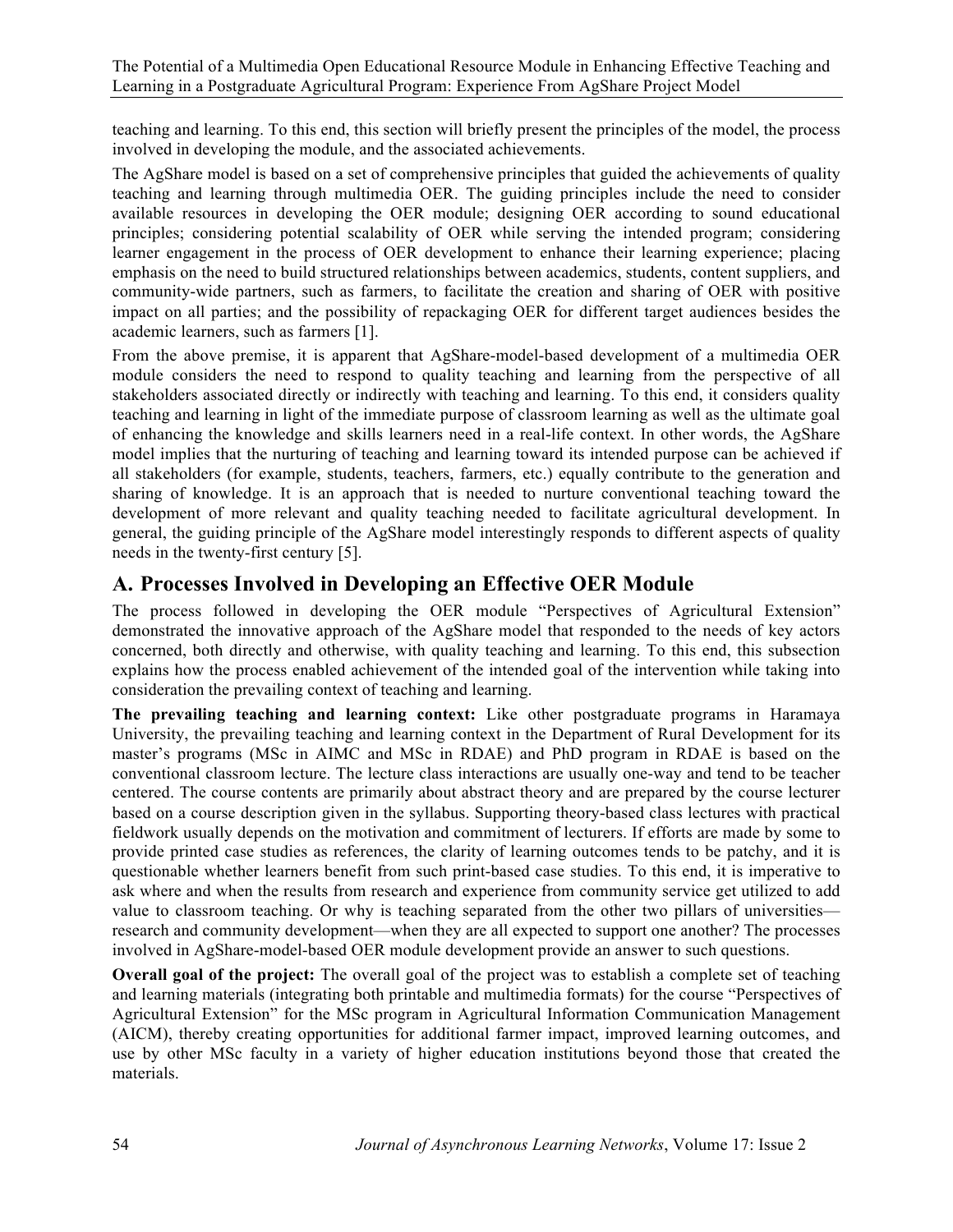teaching and learning. To this end, this section will briefly present the principles of the model, the process involved in developing the module, and the associated achievements.

The AgShare model is based on a set of comprehensive principles that guided the achievements of quality teaching and learning through multimedia OER. The guiding principles include the need to consider available resources in developing the OER module; designing OER according to sound educational principles; considering potential scalability of OER while serving the intended program; considering learner engagement in the process of OER development to enhance their learning experience; placing emphasis on the need to build structured relationships between academics, students, content suppliers, and community-wide partners, such as farmers, to facilitate the creation and sharing of OER with positive impact on all parties; and the possibility of repackaging OER for different target audiences besides the academic learners, such as farmers [1].

From the above premise, it is apparent that AgShare-model-based development of a multimedia OER module considers the need to respond to quality teaching and learning from the perspective of all stakeholders associated directly or indirectly with teaching and learning. To this end, it considers quality teaching and learning in light of the immediate purpose of classroom learning as well as the ultimate goal of enhancing the knowledge and skills learners need in a real-life context. In other words, the AgShare model implies that the nurturing of teaching and learning toward its intended purpose can be achieved if all stakeholders (for example, students, teachers, farmers, etc.) equally contribute to the generation and sharing of knowledge. It is an approach that is needed to nurture conventional teaching toward the development of more relevant and quality teaching needed to facilitate agricultural development. In general, the guiding principle of the AgShare model interestingly responds to different aspects of quality needs in the twenty-first century [5].

### **A. Processes Involved in Developing an Effective OER Module**

The process followed in developing the OER module "Perspectives of Agricultural Extension" demonstrated the innovative approach of the AgShare model that responded to the needs of key actors concerned, both directly and otherwise, with quality teaching and learning. To this end, this subsection explains how the process enabled achievement of the intended goal of the intervention while taking into consideration the prevailing context of teaching and learning.

**The prevailing teaching and learning context:** Like other postgraduate programs in Haramaya University, the prevailing teaching and learning context in the Department of Rural Development for its master's programs (MSc in AIMC and MSc in RDAE) and PhD program in RDAE is based on the conventional classroom lecture. The lecture class interactions are usually one-way and tend to be teacher centered. The course contents are primarily about abstract theory and are prepared by the course lecturer based on a course description given in the syllabus. Supporting theory-based class lectures with practical fieldwork usually depends on the motivation and commitment of lecturers. If efforts are made by some to provide printed case studies as references, the clarity of learning outcomes tends to be patchy, and it is questionable whether learners benefit from such print-based case studies. To this end, it is imperative to ask where and when the results from research and experience from community service get utilized to add value to classroom teaching. Or why is teaching separated from the other two pillars of universities research and community development—when they are all expected to support one another? The processes involved in AgShare-model-based OER module development provide an answer to such questions.

**Overall goal of the project:** The overall goal of the project was to establish a complete set of teaching and learning materials (integrating both printable and multimedia formats) for the course "Perspectives of Agricultural Extension" for the MSc program in Agricultural Information Communication Management (AICM), thereby creating opportunities for additional farmer impact, improved learning outcomes, and use by other MSc faculty in a variety of higher education institutions beyond those that created the materials.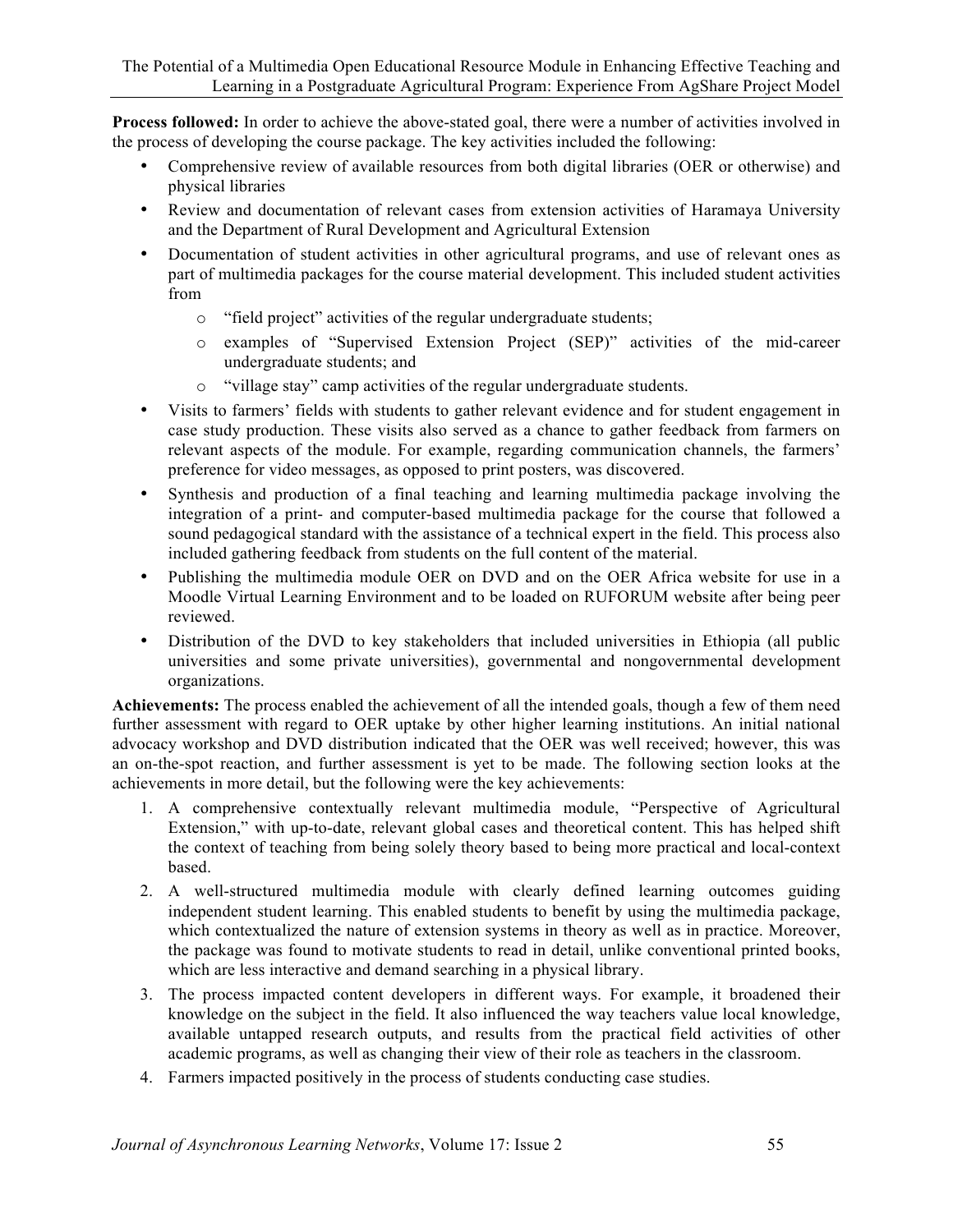**Process followed:** In order to achieve the above-stated goal, there were a number of activities involved in the process of developing the course package. The key activities included the following:

- Comprehensive review of available resources from both digital libraries (OER or otherwise) and physical libraries
- Review and documentation of relevant cases from extension activities of Haramaya University and the Department of Rural Development and Agricultural Extension
- Documentation of student activities in other agricultural programs, and use of relevant ones as part of multimedia packages for the course material development. This included student activities from
	- o "field project" activities of the regular undergraduate students;
	- o examples of "Supervised Extension Project (SEP)" activities of the mid-career undergraduate students; and
	- o "village stay" camp activities of the regular undergraduate students.
- Visits to farmers' fields with students to gather relevant evidence and for student engagement in case study production. These visits also served as a chance to gather feedback from farmers on relevant aspects of the module. For example, regarding communication channels, the farmers' preference for video messages, as opposed to print posters, was discovered.
- Synthesis and production of a final teaching and learning multimedia package involving the integration of a print- and computer-based multimedia package for the course that followed a sound pedagogical standard with the assistance of a technical expert in the field. This process also included gathering feedback from students on the full content of the material.
- Publishing the multimedia module OER on DVD and on the OER Africa website for use in a Moodle Virtual Learning Environment and to be loaded on RUFORUM website after being peer reviewed.
- Distribution of the DVD to key stakeholders that included universities in Ethiopia (all public universities and some private universities), governmental and nongovernmental development organizations.

**Achievements:** The process enabled the achievement of all the intended goals, though a few of them need further assessment with regard to OER uptake by other higher learning institutions. An initial national advocacy workshop and DVD distribution indicated that the OER was well received; however, this was an on-the-spot reaction, and further assessment is yet to be made. The following section looks at the achievements in more detail, but the following were the key achievements:

- 1. A comprehensive contextually relevant multimedia module, "Perspective of Agricultural Extension," with up-to-date, relevant global cases and theoretical content. This has helped shift the context of teaching from being solely theory based to being more practical and local-context based.
- 2. A well-structured multimedia module with clearly defined learning outcomes guiding independent student learning. This enabled students to benefit by using the multimedia package, which contextualized the nature of extension systems in theory as well as in practice. Moreover, the package was found to motivate students to read in detail, unlike conventional printed books, which are less interactive and demand searching in a physical library.
- 3. The process impacted content developers in different ways. For example, it broadened their knowledge on the subject in the field. It also influenced the way teachers value local knowledge, available untapped research outputs, and results from the practical field activities of other academic programs, as well as changing their view of their role as teachers in the classroom.
- 4. Farmers impacted positively in the process of students conducting case studies.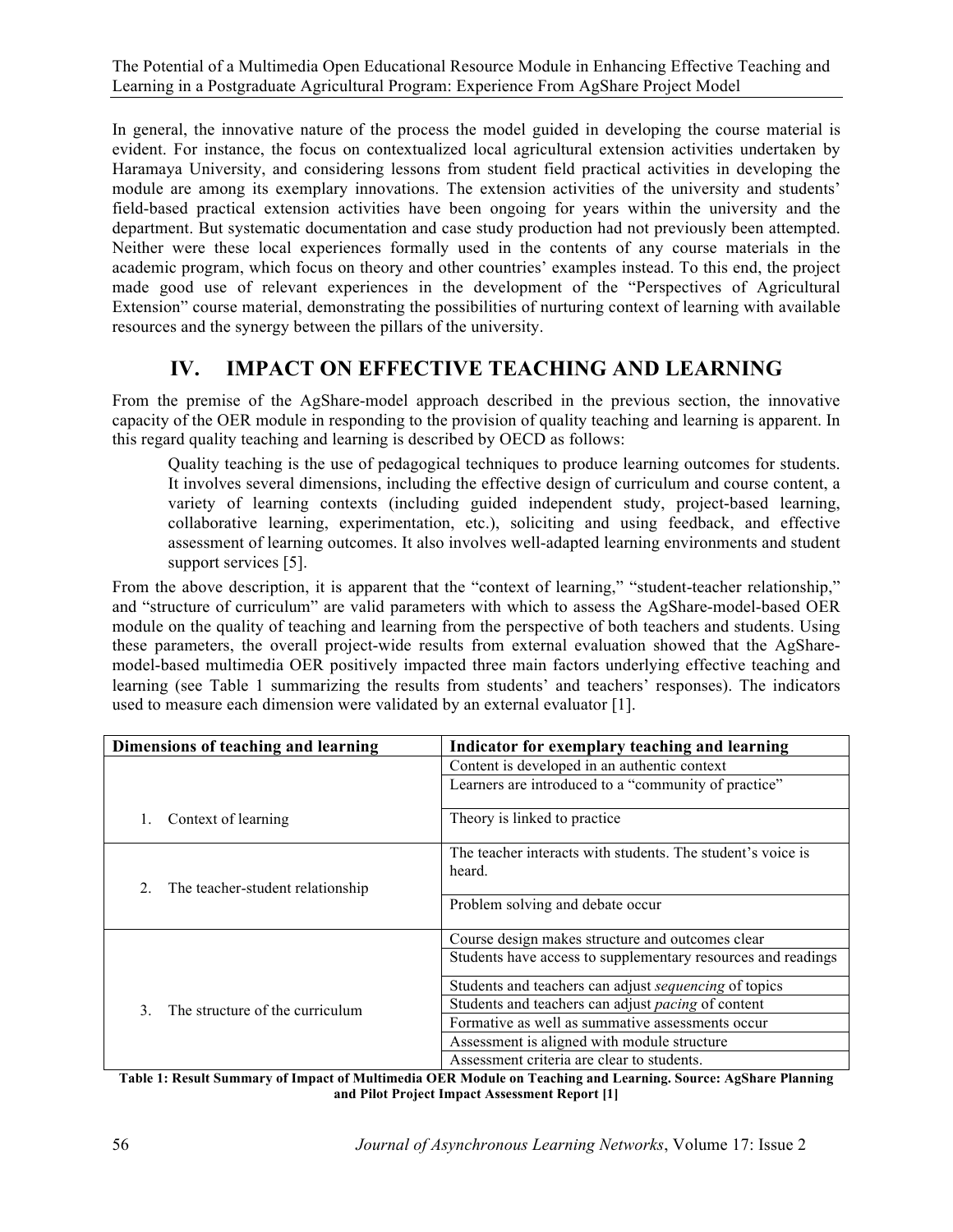In general, the innovative nature of the process the model guided in developing the course material is evident. For instance, the focus on contextualized local agricultural extension activities undertaken by Haramaya University, and considering lessons from student field practical activities in developing the module are among its exemplary innovations. The extension activities of the university and students' field-based practical extension activities have been ongoing for years within the university and the department. But systematic documentation and case study production had not previously been attempted. Neither were these local experiences formally used in the contents of any course materials in the academic program, which focus on theory and other countries' examples instead. To this end, the project made good use of relevant experiences in the development of the "Perspectives of Agricultural Extension" course material, demonstrating the possibilities of nurturing context of learning with available resources and the synergy between the pillars of the university.

# **IV. IMPACT ON EFFECTIVE TEACHING AND LEARNING**

From the premise of the AgShare-model approach described in the previous section, the innovative capacity of the OER module in responding to the provision of quality teaching and learning is apparent. In this regard quality teaching and learning is described by OECD as follows:

Quality teaching is the use of pedagogical techniques to produce learning outcomes for students. It involves several dimensions, including the effective design of curriculum and course content, a variety of learning contexts (including guided independent study, project-based learning, collaborative learning, experimentation, etc.), soliciting and using feedback, and effective assessment of learning outcomes. It also involves well-adapted learning environments and student support services [5].

From the above description, it is apparent that the "context of learning," "student-teacher relationship," and "structure of curriculum" are valid parameters with which to assess the AgShare-model-based OER module on the quality of teaching and learning from the perspective of both teachers and students. Using these parameters, the overall project-wide results from external evaluation showed that the AgSharemodel-based multimedia OER positively impacted three main factors underlying effective teaching and learning (see Table 1 summarizing the results from students' and teachers' responses). The indicators used to measure each dimension were validated by an external evaluator [1].

| Dimensions of teaching and learning                  | Indicator for exemplary teaching and learning                |
|------------------------------------------------------|--------------------------------------------------------------|
|                                                      | Content is developed in an authentic context                 |
|                                                      | Learners are introduced to a "community of practice"         |
| Context of learning                                  | Theory is linked to practice                                 |
| $\overline{2}$ .<br>The teacher-student relationship | The teacher interacts with students. The student's voice is  |
|                                                      | heard.                                                       |
|                                                      |                                                              |
|                                                      | Problem solving and debate occur                             |
|                                                      | Course design makes structure and outcomes clear             |
| The structure of the curriculum<br>$\mathcal{F}$     | Students have access to supplementary resources and readings |
|                                                      | Students and teachers can adjust sequencing of topics        |
|                                                      | Students and teachers can adjust <i>pacing</i> of content    |
|                                                      | Formative as well as summative assessments occur             |
|                                                      | Assessment is aligned with module structure                  |
|                                                      | Assessment criteria are clear to students.                   |

**Table 1: Result Summary of Impact of Multimedia OER Module on Teaching and Learning. Source: AgShare Planning and Pilot Project Impact Assessment Report [1]**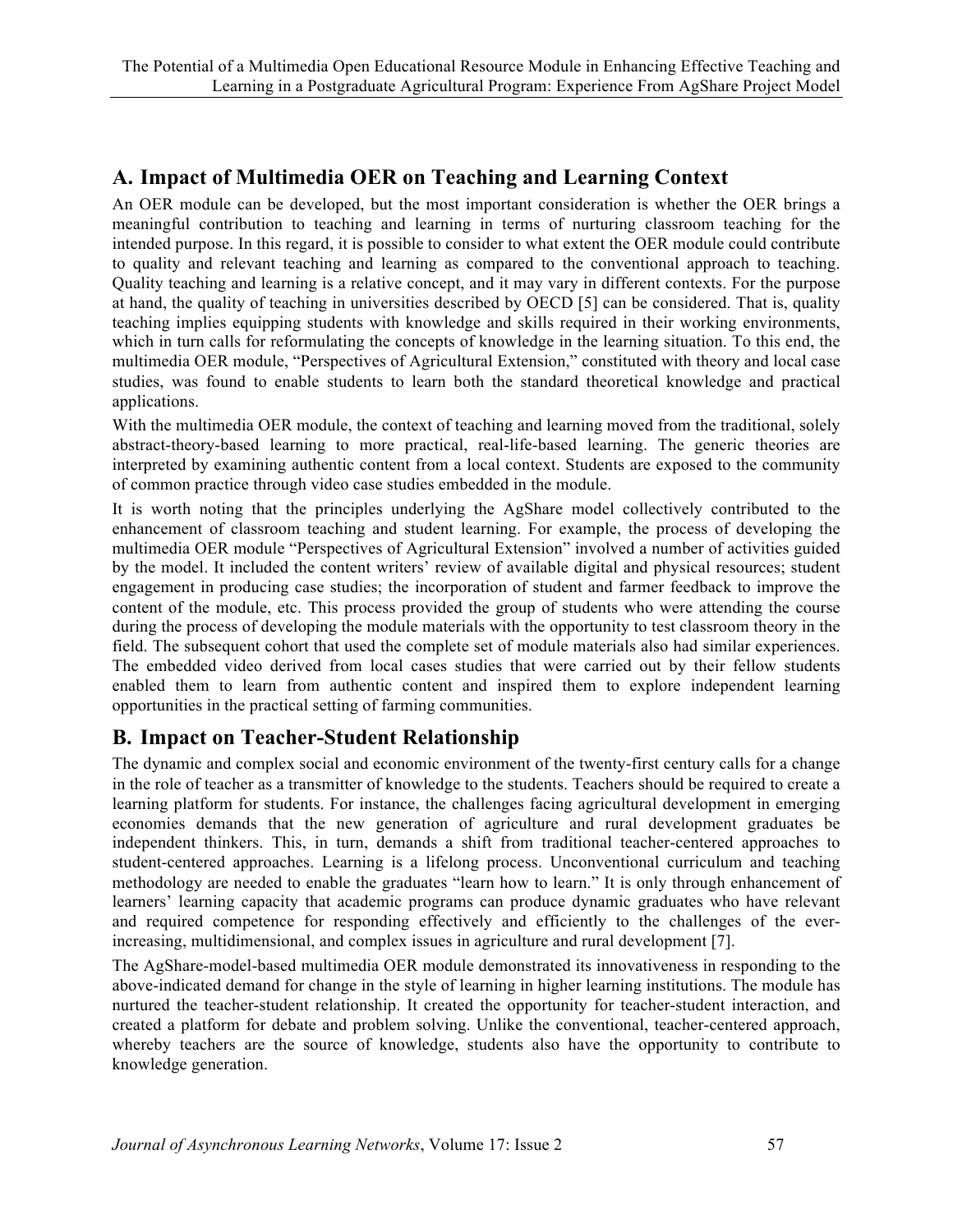# **A. Impact of Multimedia OER on Teaching and Learning Context**

An OER module can be developed, but the most important consideration is whether the OER brings a meaningful contribution to teaching and learning in terms of nurturing classroom teaching for the intended purpose. In this regard, it is possible to consider to what extent the OER module could contribute to quality and relevant teaching and learning as compared to the conventional approach to teaching. Quality teaching and learning is a relative concept, and it may vary in different contexts. For the purpose at hand, the quality of teaching in universities described by OECD [5] can be considered. That is, quality teaching implies equipping students with knowledge and skills required in their working environments, which in turn calls for reformulating the concepts of knowledge in the learning situation. To this end, the multimedia OER module, "Perspectives of Agricultural Extension," constituted with theory and local case studies, was found to enable students to learn both the standard theoretical knowledge and practical applications.

With the multimedia OER module, the context of teaching and learning moved from the traditional, solely abstract-theory-based learning to more practical, real-life-based learning. The generic theories are interpreted by examining authentic content from a local context. Students are exposed to the community of common practice through video case studies embedded in the module.

It is worth noting that the principles underlying the AgShare model collectively contributed to the enhancement of classroom teaching and student learning. For example, the process of developing the multimedia OER module "Perspectives of Agricultural Extension" involved a number of activities guided by the model. It included the content writers' review of available digital and physical resources; student engagement in producing case studies; the incorporation of student and farmer feedback to improve the content of the module, etc. This process provided the group of students who were attending the course during the process of developing the module materials with the opportunity to test classroom theory in the field. The subsequent cohort that used the complete set of module materials also had similar experiences. The embedded video derived from local cases studies that were carried out by their fellow students enabled them to learn from authentic content and inspired them to explore independent learning opportunities in the practical setting of farming communities.

### **B. Impact on Teacher-Student Relationship**

The dynamic and complex social and economic environment of the twenty-first century calls for a change in the role of teacher as a transmitter of knowledge to the students. Teachers should be required to create a learning platform for students. For instance, the challenges facing agricultural development in emerging economies demands that the new generation of agriculture and rural development graduates be independent thinkers. This, in turn, demands a shift from traditional teacher-centered approaches to student-centered approaches. Learning is a lifelong process. Unconventional curriculum and teaching methodology are needed to enable the graduates "learn how to learn." It is only through enhancement of learners' learning capacity that academic programs can produce dynamic graduates who have relevant and required competence for responding effectively and efficiently to the challenges of the everincreasing, multidimensional, and complex issues in agriculture and rural development [7].

The AgShare-model-based multimedia OER module demonstrated its innovativeness in responding to the above-indicated demand for change in the style of learning in higher learning institutions. The module has nurtured the teacher-student relationship. It created the opportunity for teacher-student interaction, and created a platform for debate and problem solving. Unlike the conventional, teacher-centered approach, whereby teachers are the source of knowledge, students also have the opportunity to contribute to knowledge generation.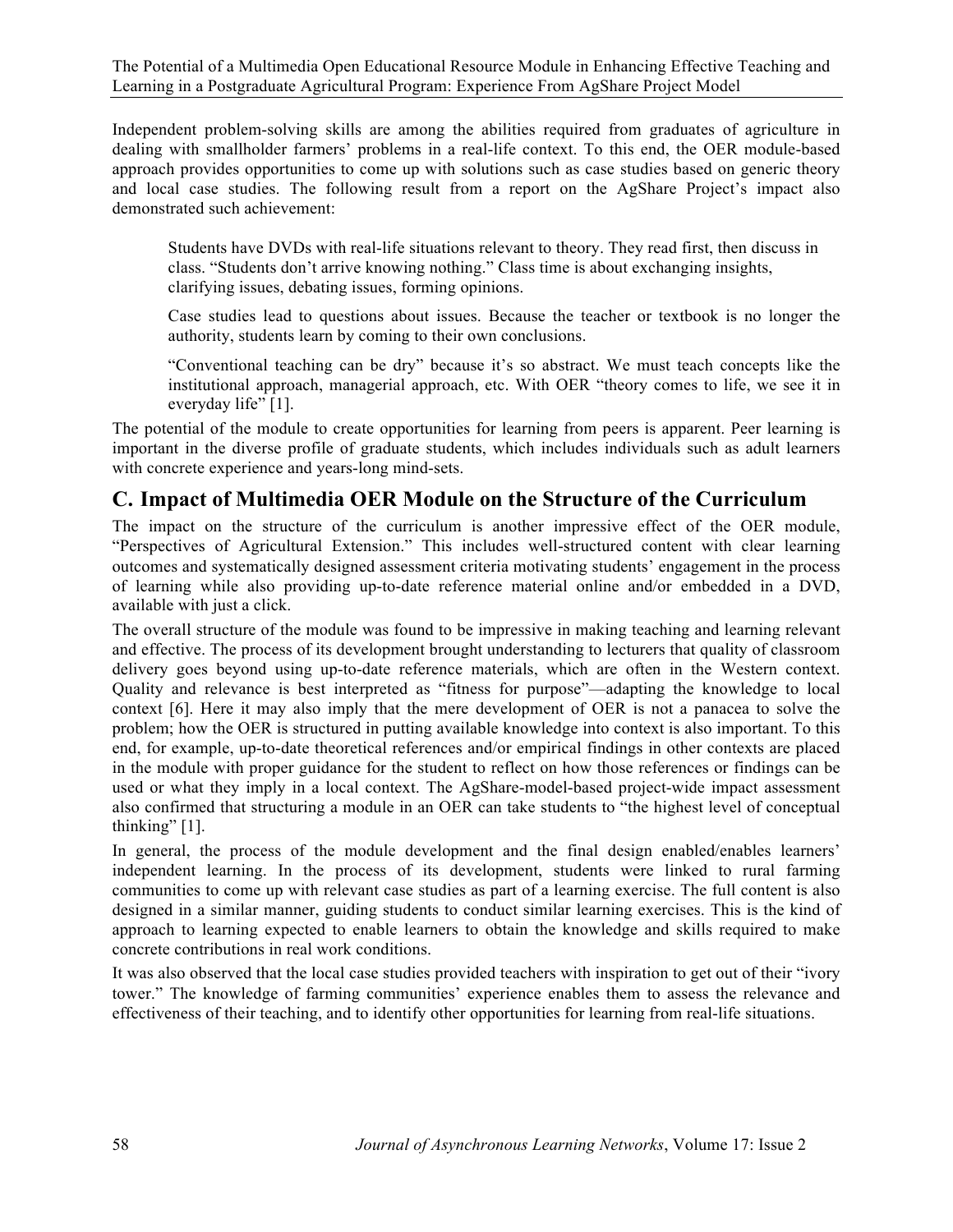Independent problem-solving skills are among the abilities required from graduates of agriculture in dealing with smallholder farmers' problems in a real-life context. To this end, the OER module-based approach provides opportunities to come up with solutions such as case studies based on generic theory and local case studies. The following result from a report on the AgShare Project's impact also demonstrated such achievement:

Students have DVDs with real-life situations relevant to theory. They read first, then discuss in class. "Students don't arrive knowing nothing." Class time is about exchanging insights, clarifying issues, debating issues, forming opinions.

Case studies lead to questions about issues. Because the teacher or textbook is no longer the authority, students learn by coming to their own conclusions.

"Conventional teaching can be dry" because it's so abstract. We must teach concepts like the institutional approach, managerial approach, etc. With OER "theory comes to life, we see it in everyday life" [1].

The potential of the module to create opportunities for learning from peers is apparent. Peer learning is important in the diverse profile of graduate students, which includes individuals such as adult learners with concrete experience and years-long mind-sets.

# **C. Impact of Multimedia OER Module on the Structure of the Curriculum**

The impact on the structure of the curriculum is another impressive effect of the OER module, "Perspectives of Agricultural Extension." This includes well-structured content with clear learning outcomes and systematically designed assessment criteria motivating students' engagement in the process of learning while also providing up-to-date reference material online and/or embedded in a DVD, available with just a click.

The overall structure of the module was found to be impressive in making teaching and learning relevant and effective. The process of its development brought understanding to lecturers that quality of classroom delivery goes beyond using up-to-date reference materials, which are often in the Western context. Quality and relevance is best interpreted as "fitness for purpose"—adapting the knowledge to local context [6]. Here it may also imply that the mere development of OER is not a panacea to solve the problem; how the OER is structured in putting available knowledge into context is also important. To this end, for example, up-to-date theoretical references and/or empirical findings in other contexts are placed in the module with proper guidance for the student to reflect on how those references or findings can be used or what they imply in a local context. The AgShare-model-based project-wide impact assessment also confirmed that structuring a module in an OER can take students to "the highest level of conceptual thinking" [1].

In general, the process of the module development and the final design enabled/enables learners' independent learning. In the process of its development, students were linked to rural farming communities to come up with relevant case studies as part of a learning exercise. The full content is also designed in a similar manner, guiding students to conduct similar learning exercises. This is the kind of approach to learning expected to enable learners to obtain the knowledge and skills required to make concrete contributions in real work conditions.

It was also observed that the local case studies provided teachers with inspiration to get out of their "ivory tower." The knowledge of farming communities' experience enables them to assess the relevance and effectiveness of their teaching, and to identify other opportunities for learning from real-life situations.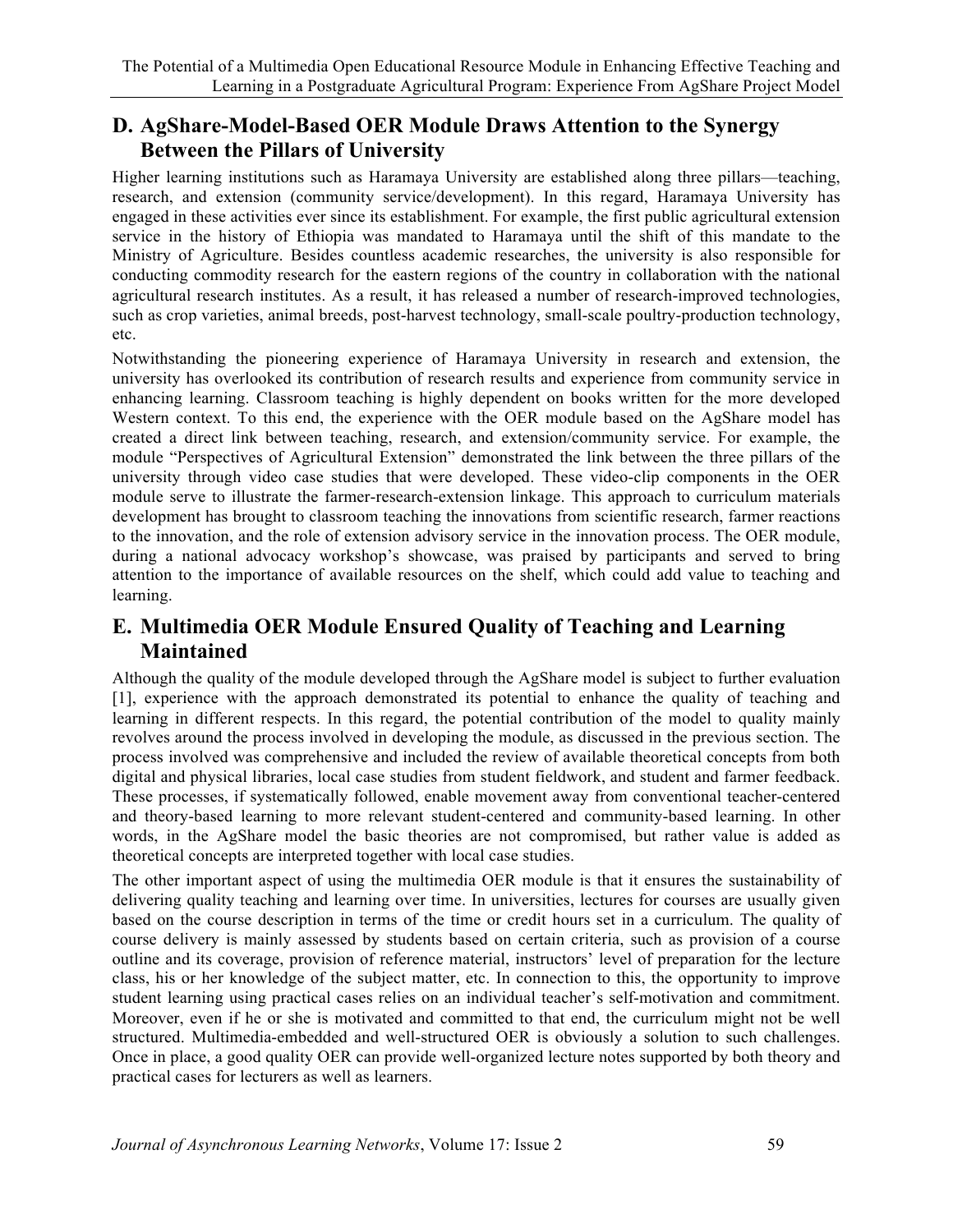## **D. AgShare-Model-Based OER Module Draws Attention to the Synergy Between the Pillars of University**

Higher learning institutions such as Haramaya University are established along three pillars—teaching, research, and extension (community service/development). In this regard, Haramaya University has engaged in these activities ever since its establishment. For example, the first public agricultural extension service in the history of Ethiopia was mandated to Haramaya until the shift of this mandate to the Ministry of Agriculture. Besides countless academic researches, the university is also responsible for conducting commodity research for the eastern regions of the country in collaboration with the national agricultural research institutes. As a result, it has released a number of research-improved technologies, such as crop varieties, animal breeds, post-harvest technology, small-scale poultry-production technology, etc.

Notwithstanding the pioneering experience of Haramaya University in research and extension, the university has overlooked its contribution of research results and experience from community service in enhancing learning. Classroom teaching is highly dependent on books written for the more developed Western context. To this end, the experience with the OER module based on the AgShare model has created a direct link between teaching, research, and extension/community service. For example, the module "Perspectives of Agricultural Extension" demonstrated the link between the three pillars of the university through video case studies that were developed. These video-clip components in the OER module serve to illustrate the farmer-research-extension linkage. This approach to curriculum materials development has brought to classroom teaching the innovations from scientific research, farmer reactions to the innovation, and the role of extension advisory service in the innovation process. The OER module, during a national advocacy workshop's showcase, was praised by participants and served to bring attention to the importance of available resources on the shelf, which could add value to teaching and learning.

# **E. Multimedia OER Module Ensured Quality of Teaching and Learning Maintained**

Although the quality of the module developed through the AgShare model is subject to further evaluation [1], experience with the approach demonstrated its potential to enhance the quality of teaching and learning in different respects. In this regard, the potential contribution of the model to quality mainly revolves around the process involved in developing the module, as discussed in the previous section. The process involved was comprehensive and included the review of available theoretical concepts from both digital and physical libraries, local case studies from student fieldwork, and student and farmer feedback. These processes, if systematically followed, enable movement away from conventional teacher-centered and theory-based learning to more relevant student-centered and community-based learning. In other words, in the AgShare model the basic theories are not compromised, but rather value is added as theoretical concepts are interpreted together with local case studies.

The other important aspect of using the multimedia OER module is that it ensures the sustainability of delivering quality teaching and learning over time. In universities, lectures for courses are usually given based on the course description in terms of the time or credit hours set in a curriculum. The quality of course delivery is mainly assessed by students based on certain criteria, such as provision of a course outline and its coverage, provision of reference material, instructors' level of preparation for the lecture class, his or her knowledge of the subject matter, etc. In connection to this, the opportunity to improve student learning using practical cases relies on an individual teacher's self-motivation and commitment. Moreover, even if he or she is motivated and committed to that end, the curriculum might not be well structured. Multimedia-embedded and well-structured OER is obviously a solution to such challenges. Once in place, a good quality OER can provide well-organized lecture notes supported by both theory and practical cases for lecturers as well as learners.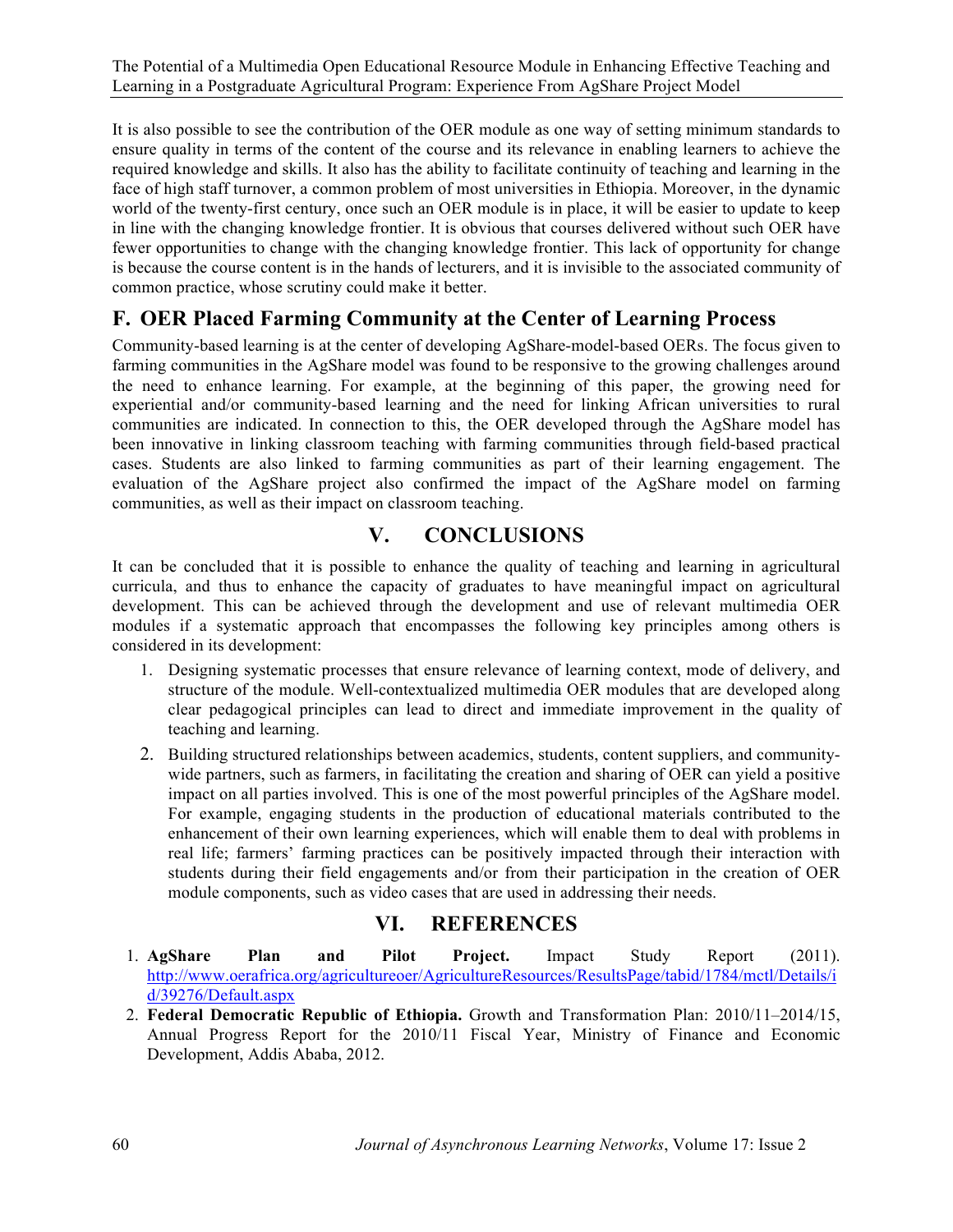It is also possible to see the contribution of the OER module as one way of setting minimum standards to ensure quality in terms of the content of the course and its relevance in enabling learners to achieve the required knowledge and skills. It also has the ability to facilitate continuity of teaching and learning in the face of high staff turnover, a common problem of most universities in Ethiopia. Moreover, in the dynamic world of the twenty-first century, once such an OER module is in place, it will be easier to update to keep in line with the changing knowledge frontier. It is obvious that courses delivered without such OER have fewer opportunities to change with the changing knowledge frontier. This lack of opportunity for change is because the course content is in the hands of lecturers, and it is invisible to the associated community of common practice, whose scrutiny could make it better.

# **F. OER Placed Farming Community at the Center of Learning Process**

Community-based learning is at the center of developing AgShare-model-based OERs. The focus given to farming communities in the AgShare model was found to be responsive to the growing challenges around the need to enhance learning. For example, at the beginning of this paper, the growing need for experiential and/or community-based learning and the need for linking African universities to rural communities are indicated. In connection to this, the OER developed through the AgShare model has been innovative in linking classroom teaching with farming communities through field-based practical cases. Students are also linked to farming communities as part of their learning engagement. The evaluation of the AgShare project also confirmed the impact of the AgShare model on farming communities, as well as their impact on classroom teaching.

# **V. CONCLUSIONS**

It can be concluded that it is possible to enhance the quality of teaching and learning in agricultural curricula, and thus to enhance the capacity of graduates to have meaningful impact on agricultural development. This can be achieved through the development and use of relevant multimedia OER modules if a systematic approach that encompasses the following key principles among others is considered in its development:

- 1. Designing systematic processes that ensure relevance of learning context, mode of delivery, and structure of the module. Well-contextualized multimedia OER modules that are developed along clear pedagogical principles can lead to direct and immediate improvement in the quality of teaching and learning.
- 2. Building structured relationships between academics, students, content suppliers, and communitywide partners, such as farmers, in facilitating the creation and sharing of OER can yield a positive impact on all parties involved. This is one of the most powerful principles of the AgShare model. For example, engaging students in the production of educational materials contributed to the enhancement of their own learning experiences, which will enable them to deal with problems in real life; farmers' farming practices can be positively impacted through their interaction with students during their field engagements and/or from their participation in the creation of OER module components, such as video cases that are used in addressing their needs.

### **VI. REFERENCES**

- 1. **AgShare Plan and Pilot Project.** Impact Study Report (2011). http://www.oerafrica.org/agricultureoer/AgricultureResources/ResultsPage/tabid/1784/mctl/Details/i d/39276/Default.aspx
- 2. **Federal Democratic Republic of Ethiopia.** Growth and Transformation Plan: 2010/11–2014/15, Annual Progress Report for the 2010/11 Fiscal Year, Ministry of Finance and Economic Development, Addis Ababa, 2012.